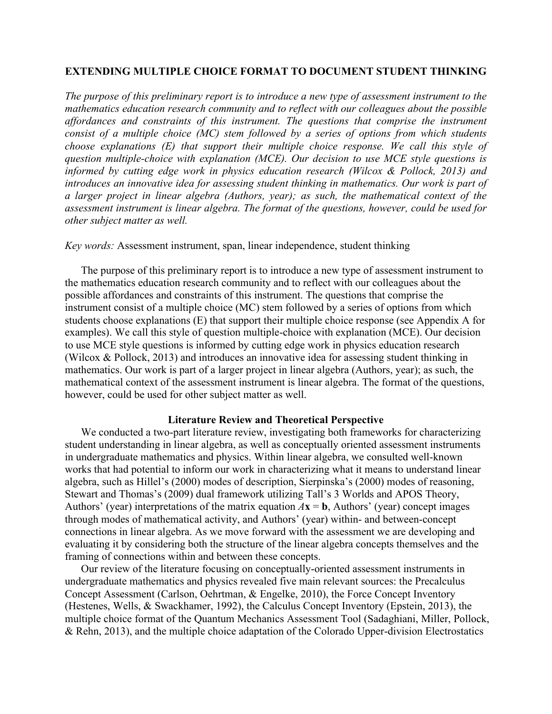# **EXTENDING MULTIPLE CHOICE FORMAT TO DOCUMENT STUDENT THINKING**

*The purpose of this preliminary report is to introduce a new type of assessment instrument to the mathematics education research community and to reflect with our colleagues about the possible affordances and constraints of this instrument. The questions that comprise the instrument consist of a multiple choice (MC) stem followed by a series of options from which students choose explanations (E) that support their multiple choice response. We call this style of question multiple-choice with explanation (MCE). Our decision to use MCE style questions is informed by cutting edge work in physics education research (Wilcox & Pollock, 2013) and*  introduces an innovative idea for assessing student thinking in mathematics. Our work is part of *a larger project in linear algebra (Authors, year); as such, the mathematical context of the assessment instrument is linear algebra. The format of the questions, however, could be used for other subject matter as well.*

## *Key words:* Assessment instrument, span, linear independence, student thinking

The purpose of this preliminary report is to introduce a new type of assessment instrument to the mathematics education research community and to reflect with our colleagues about the possible affordances and constraints of this instrument. The questions that comprise the instrument consist of a multiple choice (MC) stem followed by a series of options from which students choose explanations (E) that support their multiple choice response (see Appendix A for examples). We call this style of question multiple-choice with explanation (MCE). Our decision to use MCE style questions is informed by cutting edge work in physics education research (Wilcox & Pollock, 2013) and introduces an innovative idea for assessing student thinking in mathematics. Our work is part of a larger project in linear algebra (Authors, year); as such, the mathematical context of the assessment instrument is linear algebra. The format of the questions, however, could be used for other subject matter as well.

#### **Literature Review and Theoretical Perspective**

We conducted a two-part literature review, investigating both frameworks for characterizing student understanding in linear algebra, as well as conceptually oriented assessment instruments in undergraduate mathematics and physics. Within linear algebra, we consulted well-known works that had potential to inform our work in characterizing what it means to understand linear algebra, such as Hillel's (2000) modes of description, Sierpinska's (2000) modes of reasoning, Stewart and Thomas's (2009) dual framework utilizing Tall's 3 Worlds and APOS Theory, Authors' (year) interpretations of the matrix equation  $A$ **x** = **b**, Authors' (year) concept images through modes of mathematical activity, and Authors' (year) within- and between-concept connections in linear algebra. As we move forward with the assessment we are developing and evaluating it by considering both the structure of the linear algebra concepts themselves and the framing of connections within and between these concepts.

Our review of the literature focusing on conceptually-oriented assessment instruments in undergraduate mathematics and physics revealed five main relevant sources: the Precalculus Concept Assessment (Carlson, Oehrtman, & Engelke, 2010), the Force Concept Inventory (Hestenes, Wells, & Swackhamer, 1992), the Calculus Concept Inventory (Epstein, 2013), the multiple choice format of the Quantum Mechanics Assessment Tool (Sadaghiani, Miller, Pollock, & Rehn, 2013), and the multiple choice adaptation of the Colorado Upper-division Electrostatics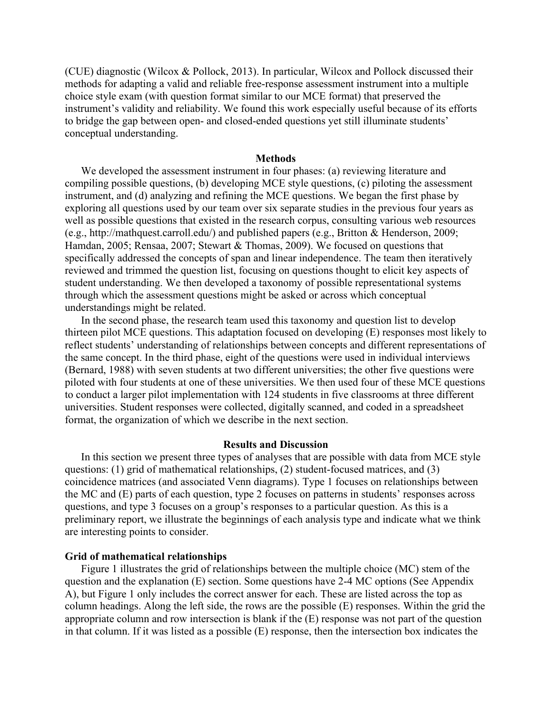(CUE) diagnostic (Wilcox & Pollock, 2013). In particular, Wilcox and Pollock discussed their methods for adapting a valid and reliable free-response assessment instrument into a multiple choice style exam (with question format similar to our MCE format) that preserved the instrument's validity and reliability. We found this work especially useful because of its efforts to bridge the gap between open- and closed-ended questions yet still illuminate students' conceptual understanding.

#### **Methods**

We developed the assessment instrument in four phases: (a) reviewing literature and compiling possible questions, (b) developing MCE style questions, (c) piloting the assessment instrument, and (d) analyzing and refining the MCE questions. We began the first phase by exploring all questions used by our team over six separate studies in the previous four years as well as possible questions that existed in the research corpus, consulting various web resources (e.g., http://mathquest.carroll.edu/) and published papers (e.g., Britton & Henderson, 2009; Hamdan, 2005; Rensaa, 2007; Stewart & Thomas, 2009). We focused on questions that specifically addressed the concepts of span and linear independence. The team then iteratively reviewed and trimmed the question list, focusing on questions thought to elicit key aspects of student understanding. We then developed a taxonomy of possible representational systems through which the assessment questions might be asked or across which conceptual understandings might be related.

In the second phase, the research team used this taxonomy and question list to develop thirteen pilot MCE questions. This adaptation focused on developing (E) responses most likely to reflect students' understanding of relationships between concepts and different representations of the same concept. In the third phase, eight of the questions were used in individual interviews (Bernard, 1988) with seven students at two different universities; the other five questions were piloted with four students at one of these universities. We then used four of these MCE questions to conduct a larger pilot implementation with 124 students in five classrooms at three different universities. Student responses were collected, digitally scanned, and coded in a spreadsheet format, the organization of which we describe in the next section.

#### **Results and Discussion**

In this section we present three types of analyses that are possible with data from MCE style questions: (1) grid of mathematical relationships, (2) student-focused matrices, and (3) coincidence matrices (and associated Venn diagrams). Type 1 focuses on relationships between the MC and (E) parts of each question, type 2 focuses on patterns in students' responses across questions, and type 3 focuses on a group's responses to a particular question. As this is a preliminary report, we illustrate the beginnings of each analysis type and indicate what we think are interesting points to consider.

## **Grid of mathematical relationships**

Figure 1 illustrates the grid of relationships between the multiple choice (MC) stem of the question and the explanation (E) section. Some questions have 2-4 MC options (See Appendix A), but Figure 1 only includes the correct answer for each. These are listed across the top as column headings. Along the left side, the rows are the possible (E) responses. Within the grid the appropriate column and row intersection is blank if the (E) response was not part of the question in that column. If it was listed as a possible (E) response, then the intersection box indicates the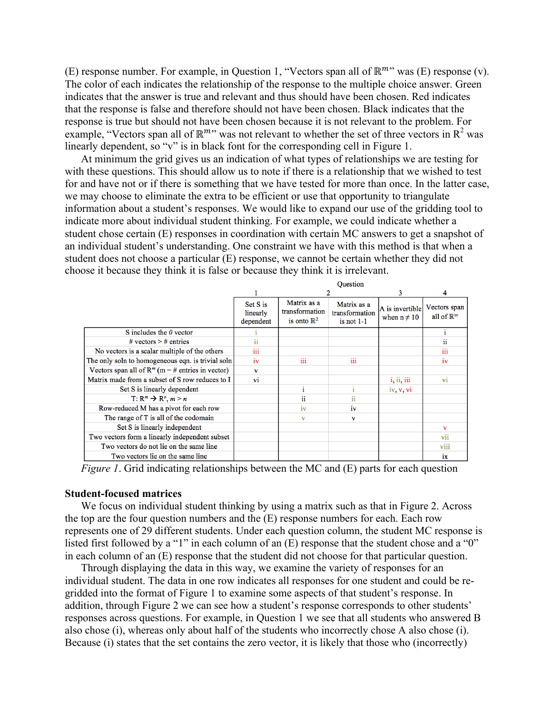(E) response number. For example, in Question 1, "Vectors span all of  $\mathbb{R}^m$ " was (E) response (v). The color of each indicates the relationship of the response to the multiple choice answer. Green indicates that the answer is true and relevant and thus should have been chosen. Red indicates that the response is false and therefore should not have been chosen. Black indicates that the response is true but should not have been chosen because it is not relevant to the problem. For example, "Vectors span all of  $\mathbb{R}^m$ " was not relevant to whether the set of three vectors in  $\mathbb{R}^2$  was linearly dependent, so "v" is in black font for the corresponding cell in Figure 1.

At minimum the grid gives us an indication of what types of relationships we are testing for with these questions. This should allow us to note if there is a relationship that we wished to test for and have not or if there is something that we have tested for more than once. In the latter case, we may choose to eliminate the extra to be efficient or use that opportunity to triangulate information about a student's responses. We would like to expand our use of the gridding tool to indicate more about individual student thinking. For example, we could indicate whether a student chose certain (E) responses in coordination with certain MC answers to get a snapshot of an individual student's understanding. One constraint we have with this method is that when a student does not choose a particular (E) response, we cannot be certain whether they did not choose it because they think it is false or because they think it is irrelevant.

|                                                      | <b>Ouestion</b>                   |                                                         |                                               |                                     |                                       |  |  |  |  |
|------------------------------------------------------|-----------------------------------|---------------------------------------------------------|-----------------------------------------------|-------------------------------------|---------------------------------------|--|--|--|--|
|                                                      |                                   |                                                         |                                               | 3                                   | 4                                     |  |  |  |  |
|                                                      | Set S is<br>linearly<br>dependent | Matrix as a<br>transformation<br>is onto $\mathbb{R}^2$ | Matrix as a<br>transformation<br>is not $1-1$ | A is invertible<br>when $n \neq 10$ | Vectors span<br>all of $\mathbb{R}^m$ |  |  |  |  |
| S includes the $\theta$ vector                       |                                   |                                                         |                                               |                                     |                                       |  |  |  |  |
| # vectors $>$ # entries                              | ii                                |                                                         |                                               |                                     | ii                                    |  |  |  |  |
| No vectors is a scalar multiple of the others        | iii                               |                                                         |                                               |                                     | iii                                   |  |  |  |  |
| The only soln to homogeneous eqn. is trivial soln    | iv                                | iii                                                     | iii                                           |                                     | iv                                    |  |  |  |  |
| Vectors span all of $R^m$ (m = # entries in vector)  | $\mathbf v$                       |                                                         |                                               |                                     |                                       |  |  |  |  |
| Matrix made from a subset of S row reduces to I      | vi                                |                                                         |                                               | i, ii, iii                          | vi                                    |  |  |  |  |
| Set S is linearly dependent                          |                                   |                                                         | Ť.                                            | iv v vi                             |                                       |  |  |  |  |
| $T: \mathbb{R}^m \rightarrow \mathbb{R}^n, m \geq n$ |                                   | ii.                                                     | ii                                            |                                     |                                       |  |  |  |  |
| Row-reduced M has a pivot for each row               |                                   | iv                                                      | iv                                            |                                     |                                       |  |  |  |  |
| The range of T is all of the codomain                |                                   | $\mathbf v$                                             | $\mathbf{v}$                                  |                                     |                                       |  |  |  |  |
| Set S is linearly independent                        |                                   |                                                         |                                               |                                     | v                                     |  |  |  |  |
| Two vectors form a linearly independent subset       |                                   |                                                         |                                               |                                     | vii                                   |  |  |  |  |
| Two vectors do not lie on the same line              |                                   |                                                         |                                               |                                     | viii                                  |  |  |  |  |
| Two vectors lie on the same line                     |                                   |                                                         |                                               |                                     | ix                                    |  |  |  |  |

*Figure 1*. Grid indicating relationships between the MC and (E) parts for each question

## **Student-focused matrices**

We focus on individual student thinking by using a matrix such as that in Figure 2. Across the top are the four question numbers and the (E) response numbers for each. Each row represents one of 29 different students. Under each question column, the student MC response is listed first followed by a "1" in each column of an  $(E)$  response that the student chose and a "0" in each column of an (E) response that the student did not choose for that particular question.

Through displaying the data in this way, we examine the variety of responses for an individual student. The data in one row indicates all responses for one student and could be regridded into the format of Figure 1 to examine some aspects of that student's response. In addition, through Figure 2 we can see how a student's response corresponds to other students' responses across questions. For example, in Question 1 we see that all students who answered B also chose (i), whereas only about half of the students who incorrectly chose A also chose (i). Because (i) states that the set contains the zero vector, it is likely that those who (incorrectly)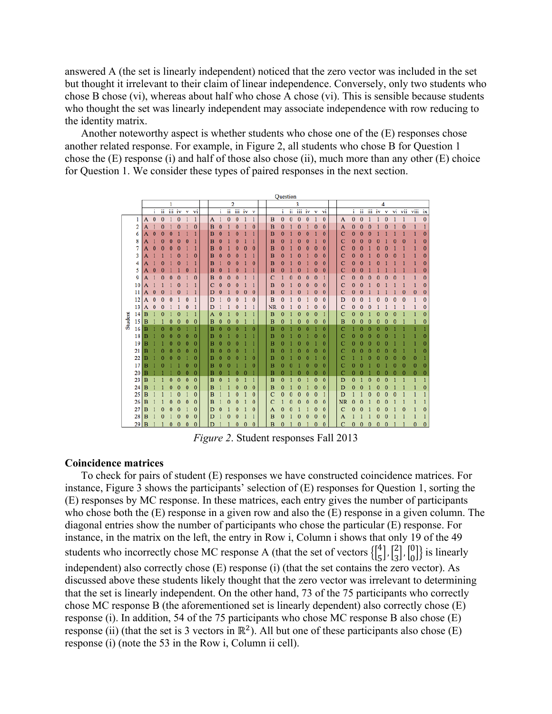answered A (the set is linearly independent) noticed that the zero vector was included in the set but thought it irrelevant to their claim of linear independence. Conversely, only two students who chose B chose (vi), whereas about half who chose A chose (vi). This is sensible because students who thought the set was linearly independent may associate independence with row reducing to the identity matrix.

Another noteworthy aspect is whether students who chose one of the (E) responses chose another related response. For example, in Figure 2, all students who chose B for Question 1 chose the (E) response (i) and half of those also chose (ii), much more than any other (E) choice for Question 1. We consider these types of paired responses in the next section.



*Figure 2*. Student responses Fall 2013

### **Coincidence matrices**

To check for pairs of student (E) responses we have constructed coincidence matrices. For instance, Figure 3 shows the participants' selection of (E) responses for Question 1, sorting the (E) responses by MC response. In these matrices, each entry gives the number of participants who chose both the (E) response in a given row and also the (E) response in a given column. The diagonal entries show the number of participants who chose the particular (E) response. For instance, in the matrix on the left, the entry in Row i, Column i shows that only 19 of the 49 students who incorrectly chose MC response A (that the set of vectors  $\begin{bmatrix} 4 \\ 5 \end{bmatrix}$ ,  $\begin{bmatrix} 2 \\ 3 \end{bmatrix}$ ,  $\begin{bmatrix} 0 \\ 0 \end{bmatrix}$ ) is linearly independent) also correctly chose (E) response (i) (that the set contains the zero vector). As discussed above these students likely thought that the zero vector was irrelevant to determining that the set is linearly independent. On the other hand, 73 of the 75 participants who correctly chose MC response B (the aforementioned set is linearly dependent) also correctly chose (E) response (i). In addition, 54 of the 75 participants who chose MC response B also chose (E) response (ii) (that the set is 3 vectors in  $\mathbb{R}^2$ ). All but one of these participants also chose (E) response (i) (note the 53 in the Row i, Column ii cell).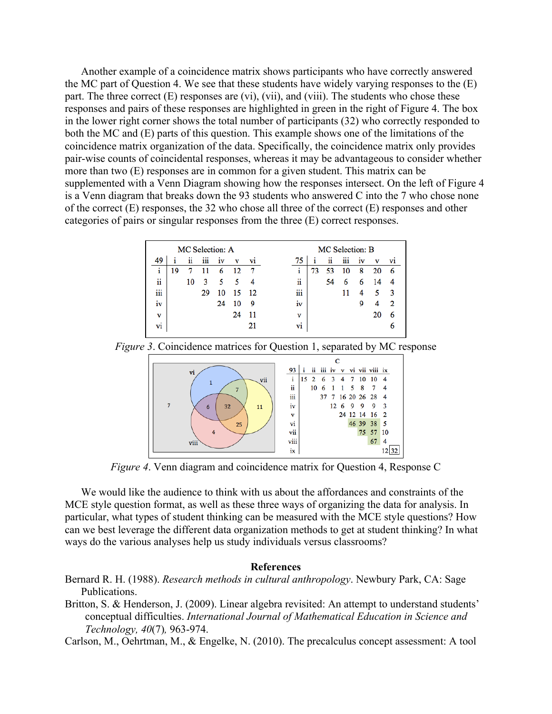Another example of a coincidence matrix shows participants who have correctly answered the MC part of Question 4. We see that these students have widely varying responses to the (E) part. The three correct  $(E)$  responses are  $(vi)$ ,  $(vii)$ , and  $(viii)$ . The students who chose these responses and pairs of these responses are highlighted in green in the right of Figure 4. The box in the lower right corner shows the total number of participants (32) who correctly responded to both the MC and (E) parts of this question. This example shows one of the limitations of the coincidence matrix organization of the data. Specifically, the coincidence matrix only provides pair-wise counts of coincidental responses, whereas it may be advantageous to consider whether more than two (E) responses are in common for a given student. This matrix can be supplemented with a Venn Diagram showing how the responses intersect. On the left of Figure 4 is a Venn diagram that breaks down the 93 students who answered C into the 7 who chose none of the correct (E) responses, the 32 who chose all three of the correct (E) responses and other categories of pairs or singular responses from the three (E) correct responses.

| MC Selection: A |    |    |     |    |    |     | MC Selection: B |    |    |     |    |    |    |
|-----------------|----|----|-----|----|----|-----|-----------------|----|----|-----|----|----|----|
| 49              | 1  | ii | iii | 1V | v  | V1  | 75              | 1  | ii | iii | 1V | v  | V1 |
| i               | 19 |    |     | 6  | 12 | 7   | 1               | 73 | 53 | 10  | 8  | 20 | 6  |
| ii              |    | 10 | 3   | 5  | 5  | 4   | ii              |    | 54 | 6   | 6  | 14 | 4  |
| iii             |    |    | 29  | 10 | 15 | -12 | iii             |    |    |     | 4  | 5  | 3  |
| iv              |    |    |     | 24 | 10 | 9   | 1V              |    |    |     | 9  | 4  | 2  |
| v               |    |    |     |    | 24 | 11  | v               |    |    |     |    | 20 | 6  |
| ٠<br>Vi         |    |    |     |    |    | 21  | V1              |    |    |     |    |    | 6  |

*Figure 3*. Coincidence matrices for Question 1, separated by MC response



*Figure 4*. Venn diagram and coincidence matrix for Question 4, Response C

We would like the audience to think with us about the affordances and constraints of the MCE style question format, as well as these three ways of organizing the data for analysis. In particular, what types of student thinking can be measured with the MCE style questions? How can we best leverage the different data organization methods to get at student thinking? In what ways do the various analyses help us study individuals versus classrooms?

# **References**

- Bernard R. H. (1988). *Research methods in cultural anthropology*. Newbury Park, CA: Sage Publications.
- Britton, S. & Henderson, J. (2009). Linear algebra revisited: An attempt to understand students' conceptual difficulties. *International Journal of Mathematical Education in Science and Technology, 40*(7)*,* 963-974.
- Carlson, M., Oehrtman, M., & Engelke, N. (2010). The precalculus concept assessment: A tool